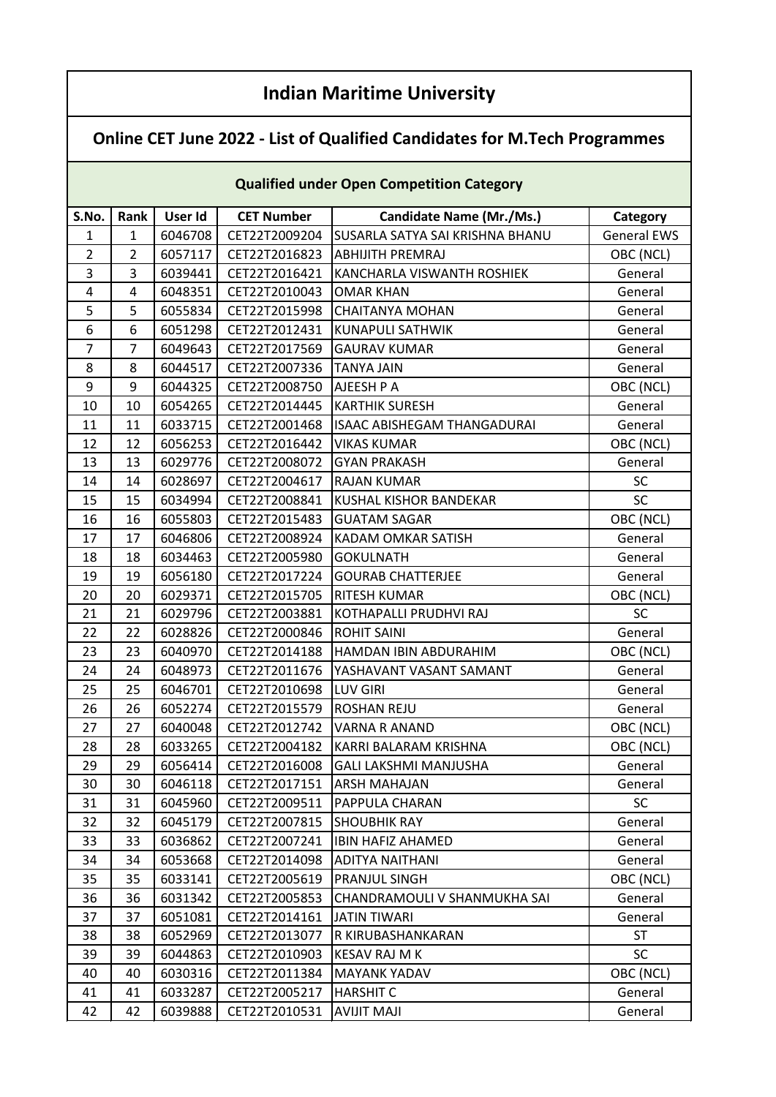## **Indian Maritime University**

## **Online CET June 2022 - List of Qualified Candidates for M.Tech Programmes**

## **Qualified under Open Competition Category**

| S.No.            | Rank           | User Id | <b>CET Number</b> | Candidate Name (Mr./Ms.)                 | Category           |
|------------------|----------------|---------|-------------------|------------------------------------------|--------------------|
| $\mathbf{1}$     | $\mathbf{1}$   | 6046708 | CET22T2009204     | SUSARLA SATYA SAI KRISHNA BHANU          | <b>General EWS</b> |
| $\overline{2}$   | $\overline{2}$ | 6057117 | CET22T2016823     | <b>ABHIJITH PREMRAJ</b>                  | OBC (NCL)          |
| 3                | $\overline{3}$ | 6039441 | CET22T2016421     | KANCHARLA VISWANTH ROSHIEK               | General            |
| 4                | 4              | 6048351 | CET22T2010043     | <b>OMAR KHAN</b>                         | General            |
| 5                | 5              | 6055834 | CET22T2015998     | <b>CHAITANYA MOHAN</b>                   | General            |
| 6                | 6              | 6051298 | CET22T2012431     | KUNAPULI SATHWIK                         | General            |
| $\overline{7}$   | $\overline{7}$ | 6049643 | CET22T2017569     |                                          |                    |
| 8                | 8              | 6044517 | CET22T2007336     | <b>GAURAV KUMAR</b><br><b>TANYA JAIN</b> | General<br>General |
| $\boldsymbol{9}$ | 9              |         |                   |                                          |                    |
|                  |                | 6044325 | CET22T2008750     | AJEESH P A                               | OBC (NCL)          |
| $10\,$           | 10             | 6054265 | CET22T2014445     | <b>KARTHIK SURESH</b>                    | General            |
| 11               | 11             | 6033715 | CET22T2001468     | ISAAC ABISHEGAM THANGADURAI              | General            |
| 12               | 12             | 6056253 | CET22T2016442     | <b>VIKAS KUMAR</b>                       | OBC (NCL)          |
| 13               | 13             | 6029776 | CET22T2008072     | <b>GYAN PRAKASH</b>                      | General            |
| 14               | 14             | 6028697 | CET22T2004617     | <b>RAJAN KUMAR</b>                       | <b>SC</b>          |
| 15               | 15             | 6034994 | CET22T2008841     | KUSHAL KISHOR BANDEKAR                   | SC                 |
| 16               | 16             | 6055803 | CET22T2015483     | <b>GUATAM SAGAR</b>                      | OBC (NCL)          |
| 17               | 17             | 6046806 | CET22T2008924     | KADAM OMKAR SATISH                       | General            |
| 18               | 18             | 6034463 | CET22T2005980     | <b>GOKULNATH</b>                         | General            |
| 19               | 19             | 6056180 | CET22T2017224     | <b>GOURAB CHATTERJEE</b>                 | General            |
| 20               | 20             | 6029371 | CET22T2015705     | <b>RITESH KUMAR</b>                      | OBC (NCL)          |
| 21               | 21             | 6029796 | CET22T2003881     | KOTHAPALLI PRUDHVI RAJ                   | <b>SC</b>          |
| 22               | 22             | 6028826 | CET22T2000846     | <b>ROHIT SAINI</b>                       | General            |
| 23               | 23             | 6040970 | CET22T2014188     | HAMDAN IBIN ABDURAHIM                    | OBC (NCL)          |
| 24               | 24             | 6048973 | CET22T2011676     | YASHAVANT VASANT SAMANT                  | General            |
| 25               | 25             | 6046701 | CET22T2010698     | <b>LUV GIRI</b>                          | General            |
| 26               | 26             | 6052274 | CET22T2015579     | ROSHAN REJU                              | General            |
| 27               | 27             | 6040048 | CET22T2012742     | <b>VARNA R ANAND</b>                     | OBC (NCL)          |
| 28               | 28             | 6033265 | CET22T2004182     | KARRI BALARAM KRISHNA                    | OBC (NCL)          |
| 29               | 29             | 6056414 | CET22T2016008     | <b>GALI LAKSHMI MANJUSHA</b>             | General            |
| 30               | 30             | 6046118 | CET22T2017151     | <b>ARSH MAHAJAN</b>                      | General            |
| 31               | 31             | 6045960 | CET22T2009511     | PAPPULA CHARAN                           | <b>SC</b>          |
| 32               | 32             | 6045179 | CET22T2007815     | <b>SHOUBHIK RAY</b>                      | General            |
| 33               | 33             | 6036862 | CET22T2007241     | <b>IBIN HAFIZ AHAMED</b>                 | General            |
| 34               | 34             | 6053668 | CET22T2014098     | ADITYA NAITHANI                          | General            |
| 35               | 35             | 6033141 | CET22T2005619     | PRANJUL SINGH                            | OBC (NCL)          |
| 36               | 36             | 6031342 | CET22T2005853     | CHANDRAMOULI V SHANMUKHA SAI             | General            |
| 37               | 37             | 6051081 | CET22T2014161     | <b>JATIN TIWARI</b>                      | General            |
| 38               | 38             | 6052969 | CET22T2013077     | R KIRUBASHANKARAN                        | <b>ST</b>          |
| 39               | 39             | 6044863 | CET22T2010903     | KESAV RAJ M K                            | <b>SC</b>          |
| 40               | 40             | 6030316 | CET22T2011384     | MAYANK YADAV                             | OBC (NCL)          |
| 41               | 41             | 6033287 | CET22T2005217     | <b>HARSHIT C</b>                         | General            |
| 42               | 42             | 6039888 | CET22T2010531     | <b>AVIJIT MAJI</b>                       | General            |